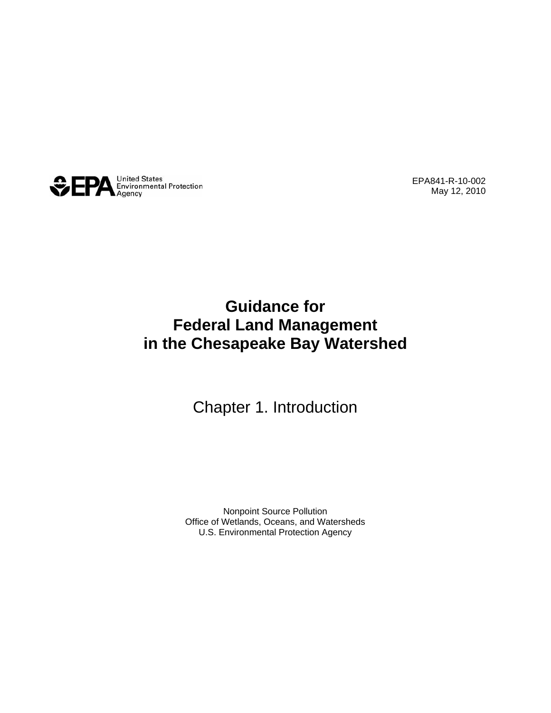

EPA841-R-10-002 May 12, 2010

#### **Guidance for Federal Land Management in the Chesapeake Bay Watershed**

#### Chapter 1. Introduction

Nonpoint Source Pollution Office of Wetlands, Oceans, and Watersheds U.S. Environmental Protection Agency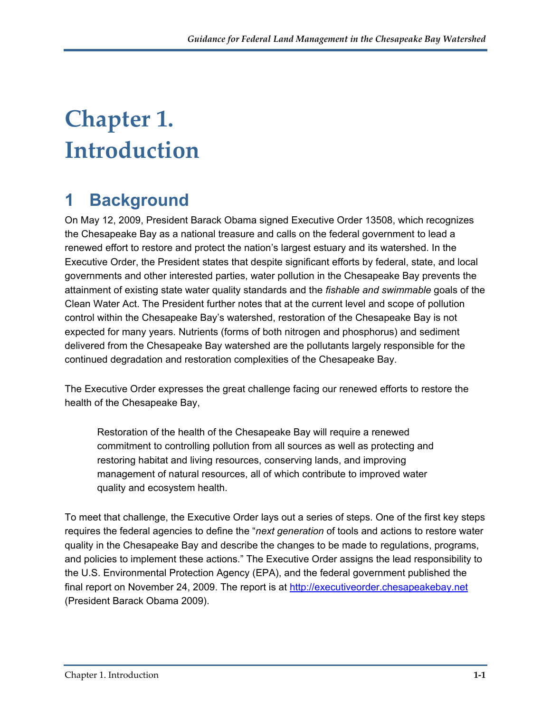# **Chapter 1. Introduction**

## **1 Background**

On May 12, 2009, President Barack Obama signed Executive Order 13508, which recognizes the Chesapeake Bay as a national treasure and calls on the federal government to lead a renewed effort to restore and protect the nation's largest estuary and its watershed. In the Executive Order, the President states that despite significant efforts by federal, state, and local governments and other interested parties, water pollution in the Chesapeake Bay prevents the attainment of existing state water quality standards and the *fishable and swimmable* goals of the Clean Water Act. The President further notes that at the current level and scope of pollution control within the Chesapeake Bay's watershed, restoration of the Chesapeake Bay is not expected for many years. Nutrients (forms of both nitrogen and phosphorus) and sediment delivered from the Chesapeake Bay watershed are the pollutants largely responsible for the continued degradation and restoration complexities of the Chesapeake Bay.

The Executive Order expresses the great challenge facing our renewed efforts to restore the health of the Chesapeake Bay,

Restoration of the health of the Chesapeake Bay will require a renewed commitment to controlling pollution from all sources as well as protecting and restoring habitat and living resources, conserving lands, and improving management of natural resources, all of which contribute to improved water quality and ecosystem health.

To meet that challenge, the Executive Order lays out a series of steps. One of the first key steps requires the federal agencies to define the "*next generation* of tools and actions to restore water quality in the Chesapeake Bay and describe the changes to be made to regulations, programs, and policies to implement these actions." The Executive Order assigns the lead responsibility to the U.S. Environmental Protection Agency (EPA), and the federal government published the final report on November 24, 2009. The report is at [http://executiveorder.chesapeakebay.net](http://executiveorder.chesapeakebay.net/) (President Barack Obama 2009).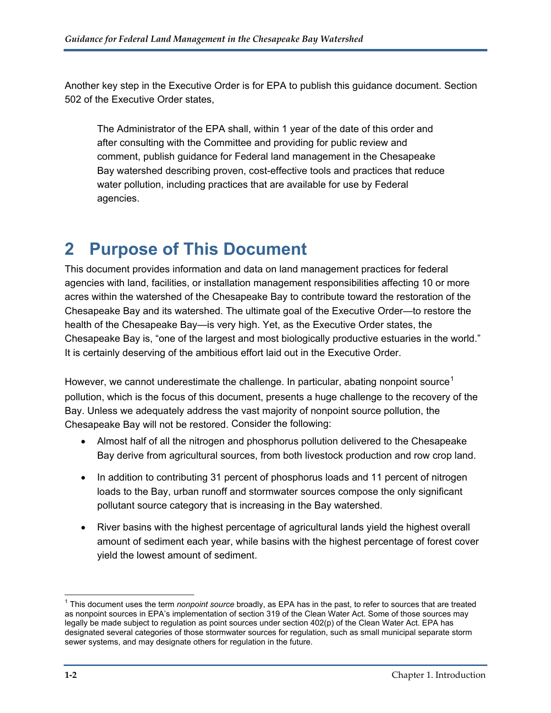Another key step in the Executive Order is for EPA to publish this guidance document. Section 502 of the Executive Order states,

The Administrator of the EPA shall, within 1 year of the date of this order and after consulting with the Committee and providing for public review and comment, publish guidance for Federal land management in the Chesapeake Bay watershed describing proven, cost-effective tools and practices that reduce water pollution, including practices that are available for use by Federal agencies.

## **2 Purpose of This Document**

This document provides information and data on land management practices for federal agencies with land, facilities, or installation management responsibilities affecting 10 or more acres within the watershed of the Chesapeake Bay to contribute toward the restoration of the Chesapeake Bay and its watershed. The ultimate goal of the Executive Order—to restore the health of the Chesapeake Bay—is very high. Yet, as the Executive Order states, the Chesapeake Bay is, "one of the largest and most biologically productive estuaries in the world." It is certainly deserving of the ambitious effort laid out in the Executive Order.

However, we cannot underestimate the challenge. In particular, abating nonpoint source<sup>[1](#page-2-0)</sup> pollution, which is the focus of this document, presents a huge challenge to the recovery of the Bay. Unless we adequately address the vast majority of nonpoint source pollution, the Chesapeake Bay will not be restored. Consider the following:

- Almost half of all the nitrogen and phosphorus pollution delivered to the Chesapeake Bay derive from agricultural sources, from both livestock production and row crop land.
- In addition to contributing 31 percent of phosphorus loads and 11 percent of nitrogen loads to the Bay, urban runoff and stormwater sources compose the only significant pollutant source category that is increasing in the Bay watershed.
- River basins with the highest percentage of agricultural lands yield the highest overall amount of sediment each year, while basins with the highest percentage of forest cover yield the lowest amount of sediment.

<span id="page-2-0"></span> 1 This document uses the term *nonpoint source* broadly, as EPA has in the past, to refer to sources that are treated as nonpoint sources in EPA's implementation of section 319 of the Clean Water Act. Some of those sources may legally be made subject to regulation as point sources under section 402(p) of the Clean Water Act. EPA has designated several categories of those stormwater sources for regulation, such as small municipal separate storm sewer systems, and may designate others for regulation in the future.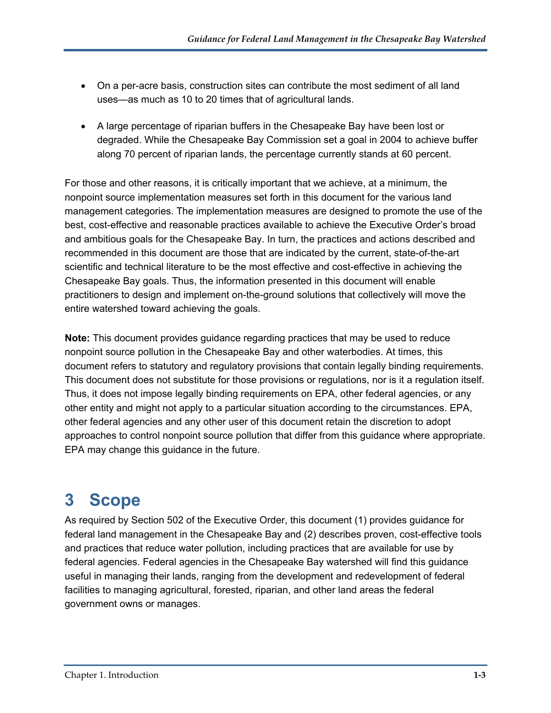- On a per-acre basis, construction sites can contribute the most sediment of all land uses—as much as 10 to 20 times that of agricultural lands.
- A large percentage of riparian buffers in the Chesapeake Bay have been lost or degraded. While the Chesapeake Bay Commission set a goal in 2004 to achieve buffer along 70 percent of riparian lands, the percentage currently stands at 60 percent.

For those and other reasons, it is critically important that we achieve, at a minimum, the nonpoint source implementation measures set forth in this document for the various land management categories. The implementation measures are designed to promote the use of the best, cost-effective and reasonable practices available to achieve the Executive Order's broad and ambitious goals for the Chesapeake Bay. In turn, the practices and actions described and recommended in this document are those that are indicated by the current, state-of-the-art scientific and technical literature to be the most effective and cost-effective in achieving the Chesapeake Bay goals. Thus, the information presented in this document will enable practitioners to design and implement on-the-ground solutions that collectively will move the entire watershed toward achieving the goals.

**Note:** This document provides guidance regarding practices that may be used to reduce nonpoint source pollution in the Chesapeake Bay and other waterbodies. At times, this document refers to statutory and regulatory provisions that contain legally binding requirements. This document does not substitute for those provisions or regulations, nor is it a regulation itself. Thus, it does not impose legally binding requirements on EPA, other federal agencies, or any other entity and might not apply to a particular situation according to the circumstances. EPA, other federal agencies and any other user of this document retain the discretion to adopt approaches to control nonpoint source pollution that differ from this guidance where appropriate. EPA may change this guidance in the future.

## **3 Scope**

As required by Section 502 of the Executive Order, this document (1) provides guidance for federal land management in the Chesapeake Bay and (2) describes proven, cost-effective tools and practices that reduce water pollution, including practices that are available for use by federal agencies. Federal agencies in the Chesapeake Bay watershed will find this guidance useful in managing their lands, ranging from the development and redevelopment of federal facilities to managing agricultural, forested, riparian, and other land areas the federal government owns or manages.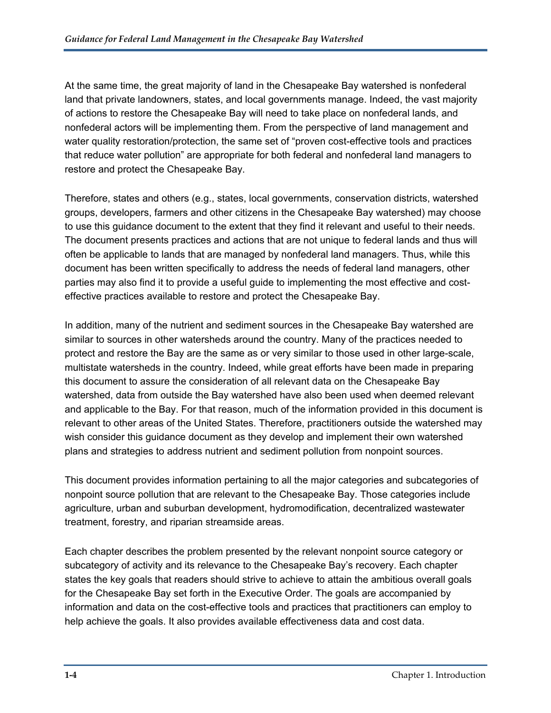At the same time, the great majority of land in the Chesapeake Bay watershed is nonfederal land that private landowners, states, and local governments manage. Indeed, the vast majority of actions to restore the Chesapeake Bay will need to take place on nonfederal lands, and nonfederal actors will be implementing them. From the perspective of land management and water quality restoration/protection, the same set of "proven cost-effective tools and practices that reduce water pollution" are appropriate for both federal and nonfederal land managers to restore and protect the Chesapeake Bay.

Therefore, states and others (e.g., states, local governments, conservation districts, watershed groups, developers, farmers and other citizens in the Chesapeake Bay watershed) may choose to use this guidance document to the extent that they find it relevant and useful to their needs. The document presents practices and actions that are not unique to federal lands and thus will often be applicable to lands that are managed by nonfederal land managers. Thus, while this document has been written specifically to address the needs of federal land managers, other parties may also find it to provide a useful guide to implementing the most effective and costeffective practices available to restore and protect the Chesapeake Bay.

In addition, many of the nutrient and sediment sources in the Chesapeake Bay watershed are similar to sources in other watersheds around the country. Many of the practices needed to protect and restore the Bay are the same as or very similar to those used in other large-scale, multistate watersheds in the country. Indeed, while great efforts have been made in preparing this document to assure the consideration of all relevant data on the Chesapeake Bay watershed, data from outside the Bay watershed have also been used when deemed relevant and applicable to the Bay. For that reason, much of the information provided in this document is relevant to other areas of the United States. Therefore, practitioners outside the watershed may wish consider this guidance document as they develop and implement their own watershed plans and strategies to address nutrient and sediment pollution from nonpoint sources.

This document provides information pertaining to all the major categories and subcategories of nonpoint source pollution that are relevant to the Chesapeake Bay. Those categories include agriculture, urban and suburban development, hydromodification, decentralized wastewater treatment, forestry, and riparian streamside areas.

Each chapter describes the problem presented by the relevant nonpoint source category or subcategory of activity and its relevance to the Chesapeake Bay's recovery. Each chapter states the key goals that readers should strive to achieve to attain the ambitious overall goals for the Chesapeake Bay set forth in the Executive Order. The goals are accompanied by information and data on the cost-effective tools and practices that practitioners can employ to help achieve the goals. It also provides available effectiveness data and cost data.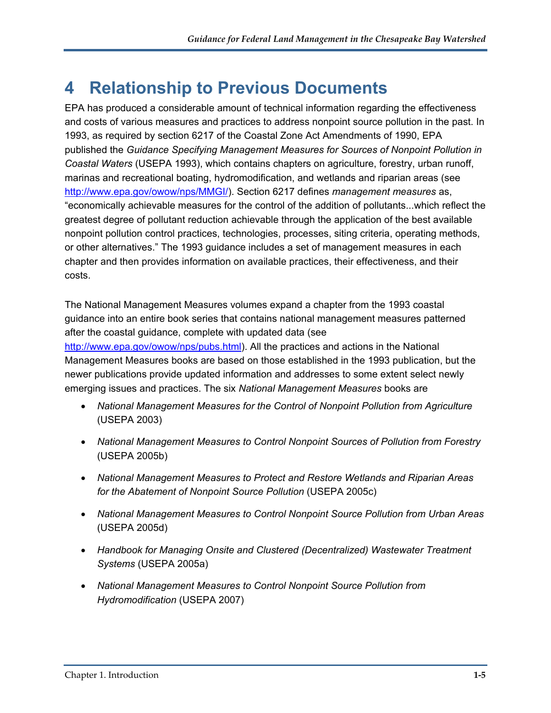#### **4 Relationship to Previous Documents**

EPA has produced a considerable amount of technical information regarding the effectiveness and costs of various measures and practices to address nonpoint source pollution in the past. In 1993, as required by section 6217 of the Coastal Zone Act Amendments of 1990, EPA published the *Guidance Specifying Management Measures for Sources of Nonpoint Pollution in Coastal Waters* (USEPA 1993), which contains chapters on agriculture, forestry, urban runoff, marinas and recreational boating, hydromodification, and wetlands and riparian areas (see [http://www.epa.gov/owow/nps/MMGI/\)](http://www.epa.gov/owow/nps/MMGI/). Section 6217 defines *management measures* as, "economically achievable measures for the control of the addition of pollutants...which reflect the greatest degree of pollutant reduction achievable through the application of the best available nonpoint pollution control practices, technologies, processes, siting criteria, operating methods, or other alternatives." The 1993 guidance includes a set of management measures in each chapter and then provides information on available practices, their effectiveness, and their costs.

The National Management Measures volumes expand a chapter from the 1993 coastal guidance into an entire book series that contains national management measures patterned after the coastal guidance, complete with updated data (see <http://www.epa.gov/owow/nps/pubs.html>). All the practices and actions in the National Management Measures books are based on those established in the 1993 publication, but the newer publications provide updated information and addresses to some extent select newly emerging issues and practices. The six *National Management Measures* books are

- *National Management Measures for the Control of Nonpoint Pollution from Agriculture* (USEPA 2003)
- *National Management Measures to Control Nonpoint Sources of Pollution from Forestry* (USEPA 2005b)
- *National Management Measures to Protect and Restore Wetlands and Riparian Areas for the Abatement of Nonpoint Source Pollution* (USEPA 2005c)
- *National Management Measures to Control Nonpoint Source Pollution from Urban Areas*  (USEPA 2005d)
- *Handbook for Managing Onsite and Clustered (Decentralized) Wastewater Treatment Systems* (USEPA 2005a)
- *National Management Measures to Control Nonpoint Source Pollution from Hydromodification* (USEPA 2007)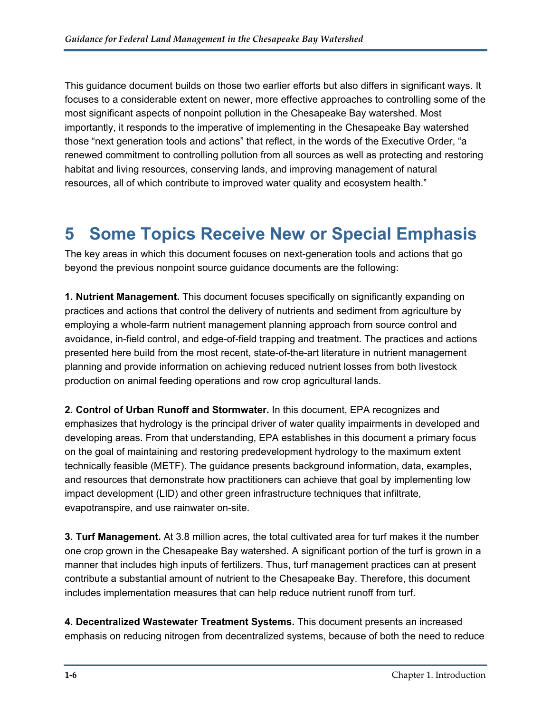This guidance document builds on those two earlier efforts but also differs in significant ways. It focuses to a considerable extent on newer, more effective approaches to controlling some of the most significant aspects of nonpoint pollution in the Chesapeake Bay watershed. Most importantly, it responds to the imperative of implementing in the Chesapeake Bay watershed those "next generation tools and actions" that reflect, in the words of the Executive Order, "a renewed commitment to controlling pollution from all sources as well as protecting and restoring habitat and living resources, conserving lands, and improving management of natural resources, all of which contribute to improved water quality and ecosystem health."

### **5 Some Topics Receive New or Special Emphasis**

The key areas in which this document focuses on next-generation tools and actions that go beyond the previous nonpoint source guidance documents are the following:

**1. Nutrient Management.** This document focuses specifically on significantly expanding on practices and actions that control the delivery of nutrients and sediment from agriculture by employing a whole-farm nutrient management planning approach from source control and avoidance, in-field control, and edge-of-field trapping and treatment. The practices and actions presented here build from the most recent, state-of-the-art literature in nutrient management planning and provide information on achieving reduced nutrient losses from both livestock production on animal feeding operations and row crop agricultural lands.

**2. Control of Urban Runoff and Stormwater.** In this document, EPA recognizes and emphasizes that hydrology is the principal driver of water quality impairments in developed and developing areas. From that understanding, EPA establishes in this document a primary focus on the goal of maintaining and restoring predevelopment hydrology to the maximum extent technically feasible (METF). The guidance presents background information, data, examples, and resources that demonstrate how practitioners can achieve that goal by implementing low impact development (LID) and other green infrastructure techniques that infiltrate, evapotranspire, and use rainwater on-site.

**3. Turf Management.** At 3.8 million acres, the total cultivated area for turf makes it the number one crop grown in the Chesapeake Bay watershed. A significant portion of the turf is grown in a manner that includes high inputs of fertilizers. Thus, turf management practices can at present contribute a substantial amount of nutrient to the Chesapeake Bay. Therefore, this document includes implementation measures that can help reduce nutrient runoff from turf.

**4. Decentralized Wastewater Treatment Systems.** This document presents an increased emphasis on reducing nitrogen from decentralized systems, because of both the need to reduce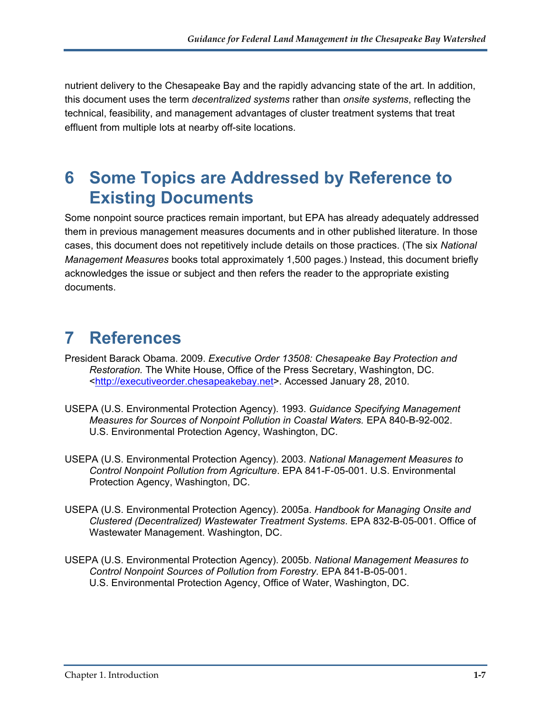nutrient delivery to the Chesapeake Bay and the rapidly advancing state of the art. In addition, this document uses the term *decentralized systems* rather than *onsite systems*, reflecting the technical, feasibility, and management advantages of cluster treatment systems that treat effluent from multiple lots at nearby off-site locations.

#### **6 Some Topics are Addressed by Reference to Existing Documents**

Some nonpoint source practices remain important, but EPA has already adequately addressed them in previous management measures documents and in other published literature. In those cases, this document does not repetitively include details on those practices. (The six *National Management Measures* books total approximately 1,500 pages.) Instead, this document briefly acknowledges the issue or subject and then refers the reader to the appropriate existing documents.

## **7 References**

- President Barack Obama. 2009. *Executive Order 13508: Chesapeake Bay Protection and Restoration.* The White House, Office of the Press Secretary, Washington, DC. <[http://executiveorder.chesapeakebay.net>](http://executiveorder.chesapeakebay.net/). Accessed January 28, 2010.
- USEPA (U.S. Environmental Protection Agency). 1993. *Guidance Specifying Management Measures for Sources of Nonpoint Pollution in Coastal Waters.* EPA 840-B-92-002. U.S. Environmental Protection Agency, Washington, DC.
- USEPA (U.S. Environmental Protection Agency). 2003. *National Management Measures to Control Nonpoint Pollution from Agriculture*. EPA 841-F-05-001. U.S. Environmental Protection Agency, Washington, DC.
- USEPA (U.S. Environmental Protection Agency). 2005a. *Handbook for Managing Onsite and Clustered (Decentralized) Wastewater Treatment Systems*. EPA 832-B-05-001. Office of Wastewater Management. Washington, DC.
- USEPA (U.S. Environmental Protection Agency). 2005b. *National Management Measures to Control Nonpoint Sources of Pollution from Forestry*. EPA 841-B-05-001. U.S. Environmental Protection Agency, Office of Water, Washington, DC.